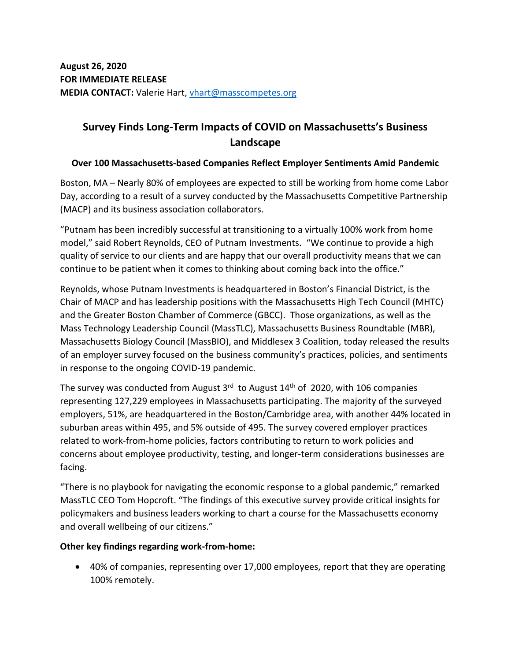# **Survey Finds Long-Term Impacts of COVID on Massachusetts's Business Landscape**

### **Over 100 Massachusetts-based Companies Reflect Employer Sentiments Amid Pandemic**

Boston, MA – Nearly 80% of employees are expected to still be working from home come Labor Day, according to a result of a survey conducted by the Massachusetts Competitive Partnership (MACP) and its business association collaborators.

"Putnam has been incredibly successful at transitioning to a virtually 100% work from home model," said Robert Reynolds, CEO of Putnam Investments. "We continue to provide a high quality of service to our clients and are happy that our overall productivity means that we can continue to be patient when it comes to thinking about coming back into the office."

Reynolds, whose Putnam Investments is headquartered in Boston's Financial District, is the Chair of MACP and has leadership positions with the Massachusetts High Tech Council (MHTC) and the Greater Boston Chamber of Commerce (GBCC). Those organizations, as well as the Mass Technology Leadership Council (MassTLC), Massachusetts Business Roundtable (MBR), Massachusetts Biology Council (MassBIO), and Middlesex 3 Coalition, today released the results of an employer survey focused on the business community's practices, policies, and sentiments in response to the ongoing COVID-19 pandemic.

The survey was conducted from August  $3<sup>rd</sup>$  to August  $14<sup>th</sup>$  of 2020, with 106 companies representing 127,229 employees in Massachusetts participating. The majority of the surveyed employers, 51%, are headquartered in the Boston/Cambridge area, with another 44% located in suburban areas within 495, and 5% outside of 495. The survey covered employer practices related to work-from-home policies, factors contributing to return to work policies and concerns about employee productivity, testing, and longer-term considerations businesses are facing.

"There is no playbook for navigating the economic response to a global pandemic," remarked MassTLC CEO Tom Hopcroft. "The findings of this executive survey provide critical insights for policymakers and business leaders working to chart a course for the Massachusetts economy and overall wellbeing of our citizens."

### **Other key findings regarding work-from-home:**

• 40% of companies, representing over 17,000 employees, report that they are operating 100% remotely.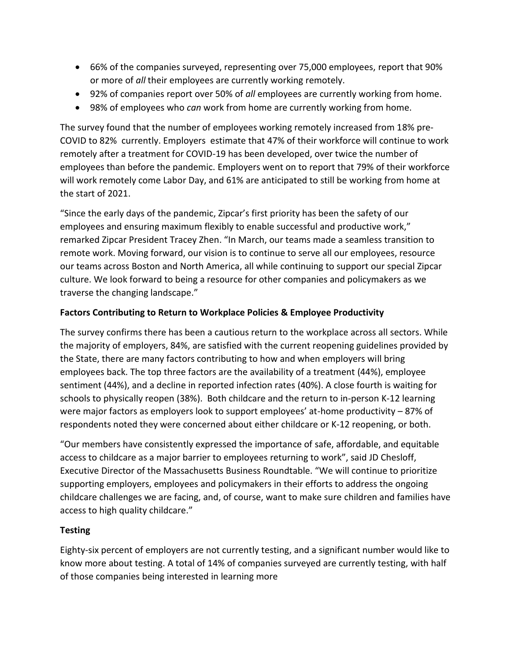- 66% of the companies surveyed, representing over 75,000 employees, report that 90% or more of *all* their employees are currently working remotely.
- 92% of companies report over 50% of *all* employees are currently working from home.
- 98% of employees who *can* work from home are currently working from home.

The survey found that the number of employees working remotely increased from 18% pre-COVID to 82% currently. Employers estimate that 47% of their workforce will continue to work remotely after a treatment for COVID-19 has been developed, over twice the number of employees than before the pandemic. Employers went on to report that 79% of their workforce will work remotely come Labor Day, and 61% are anticipated to still be working from home at the start of 2021.

"Since the early days of the pandemic, Zipcar's first priority has been the safety of our employees and ensuring maximum flexibly to enable successful and productive work," remarked Zipcar President Tracey Zhen. "In March, our teams made a seamless transition to remote work. Moving forward, our vision is to continue to serve all our employees, resource our teams across Boston and North America, all while continuing to support our special Zipcar culture. We look forward to being a resource for other companies and policymakers as we traverse the changing landscape."

## **Factors Contributing to Return to Workplace Policies & Employee Productivity**

The survey confirms there has been a cautious return to the workplace across all sectors. While the majority of employers, 84%, are satisfied with the current reopening guidelines provided by the State, there are many factors contributing to how and when employers will bring employees back. The top three factors are the availability of a treatment (44%), employee sentiment (44%), and a decline in reported infection rates (40%). A close fourth is waiting for schools to physically reopen (38%). Both childcare and the return to in-person K-12 learning were major factors as employers look to support employees' at-home productivity – 87% of respondents noted they were concerned about either childcare or K-12 reopening, or both.

"Our members have consistently expressed the importance of safe, affordable, and equitable access to childcare as a major barrier to employees returning to work", said JD Chesloff, Executive Director of the Massachusetts Business Roundtable. "We will continue to prioritize supporting employers, employees and policymakers in their efforts to address the ongoing childcare challenges we are facing, and, of course, want to make sure children and families have access to high quality childcare."

### **Testing**

Eighty-six percent of employers are not currently testing, and a significant number would like to know more about testing. A total of 14% of companies surveyed are currently testing, with half of those companies being interested in learning more